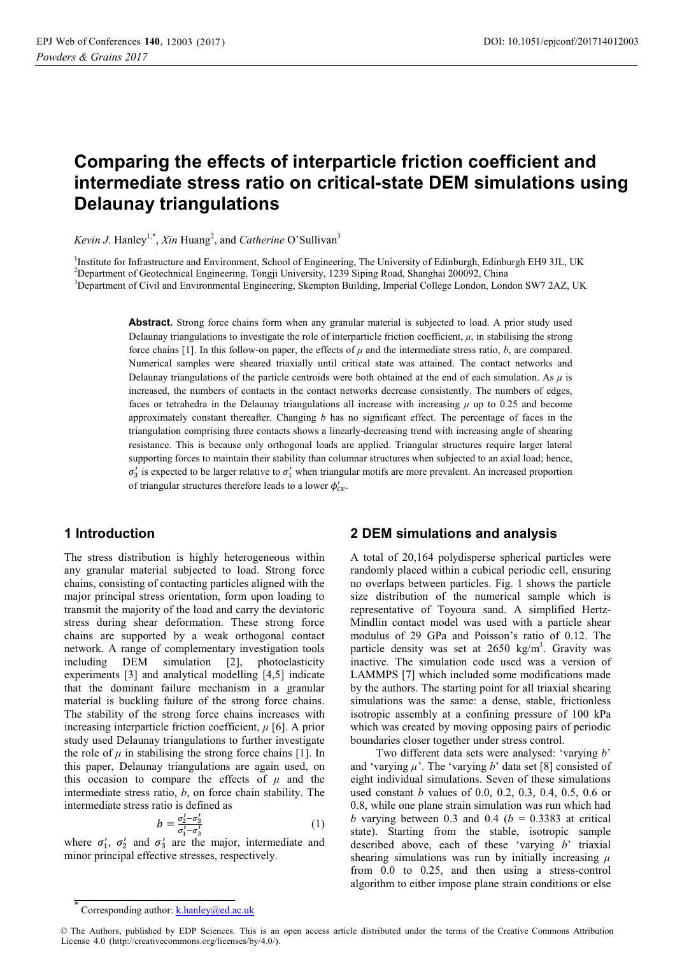# **Comparing the effects of interparticle friction coefficient and intermediate stress ratio on critical-state DEM simulations using Delaunay triangulations**

*Kevin J.* Hanley<sup>1,\*</sup>, *Xin* Huang<sup>2</sup>, and *Catherine* O'Sullivan<sup>3</sup>

<sup>1</sup>Institute for Infrastructure and Environment, School of Engineering, The University of Edinburgh, Edinburgh EH9 3JL, UK<br><sup>2</sup>Department of Geotechnical Engineering, Tongji University, 1230 Sining Pood, Shanghai 200002, Ch <sup>2</sup>Department of Geotechnical Engineering, Tongji University, 1239 Siping Road, Shanghai 200092, China <sup>3</sup>Department of Civil and Environmental Engineering, Skempton Building, Imperial College London, London SW7 2AZ, UK

> **Abstract.** Strong force chains form when any granular material is subjected to load. A prior study used Delaunay triangulations to investigate the role of interparticle friction coefficient,  $\mu$ , in stabilising the strong force chains [1]. In this follow-on paper, the effects of  $\mu$  and the intermediate stress ratio,  $b$ , are compared. Numerical samples were sheared triaxially until critical state was attained. The contact networks and Delaunay triangulations of the particle centroids were both obtained at the end of each simulation. As  $\mu$  is increased, the numbers of contacts in the contact networks decrease consistently. The numbers of edges, faces or tetrahedra in the Delaunay triangulations all increase with increasing *μ* up to 0.25 and become approximately constant thereafter. Changing *b* has no significant effect. The percentage of faces in the triangulation comprising three contacts shows a linearly-decreasing trend with increasing angle of shearing resistance. This is because only orthogonal loads are applied. Triangular structures require larger lateral supporting forces to maintain their stability than columnar structures when subjected to an axial load; hence,  $\sigma'_3$  is expected to be larger relative to  $\sigma'_1$  when triangular motifs are more prevalent. An increased proportion of triangular structures therefore leads to a lower  $\phi'_{cv}$ .

# **1 Introduction**

The stress distribution is highly heterogeneous within any granular material subjected to load. Strong force chains, consisting of contacting particles aligned with the major principal stress orientation, form upon loading to transmit the majority of the load and carry the deviatoric stress during shear deformation. These strong force chains are supported by a weak orthogonal contact network. A range of complementary investigation tools including DEM simulation [2], photoelasticity experiments [3] and analytical modelling [4,5] indicate that the dominant failure mechanism in a granular material is buckling failure of the strong force chains. The stability of the strong force chains increases with increasing interparticle friction coefficient, *μ* [6]. A prior study used Delaunay triangulations to further investigate the role of  $\mu$  in stabilising the strong force chains [1]. In this paper, Delaunay triangulations are again used, on this occasion to compare the effects of  $\mu$  and the intermediate stress ratio, *b*, on force chain stability. The intermediate stress ratio is defined as

$$
b = \frac{\sigma_2' - \sigma_3'}{\sigma_1' - \sigma_3'}\tag{1}
$$

where  $\sigma'_1$ ,  $\sigma'_2$  and  $\sigma'_3$  are the major, intermediate and minor principal effective stresses, respectively.

### **2 DEM simulations and analysis**

A total of 20,164 polydisperse spherical particles were randomly placed within a cubical periodic cell, ensuring no overlaps between particles. Fig. 1 shows the particle size distribution of the numerical sample which is representative of Toyoura sand. A simplified Hertz-Mindlin contact model was used with a particle shear modulus of 29 GPa and Poisson's ratio of 0.12. The particle density was set at  $2650 \text{ kg/m}^3$ . Gravity was inactive. The simulation code used was a version of LAMMPS [7] which included some modifications made by the authors. The starting point for all triaxial shearing simulations was the same: a dense, stable, frictionless isotropic assembly at a confining pressure of 100 kPa which was created by moving opposing pairs of periodic boundaries closer together under stress control.

Two different data sets were analysed: 'varying *b*' and 'varying  $\mu$ '. The 'varying  $b$ ' data set [8] consisted of eight individual simulations. Seven of these simulations used constant *b* values of 0.0, 0.2, 0.3, 0.4, 0.5, 0.6 or 0.8, while one plane strain simulation was run which had *b* varying between 0.3 and 0.4 ( $b = 0.3383$  at critical state). Starting from the stable, isotropic sample described above, each of these 'varying *b*' triaxial shearing simulations was run by initially increasing  $\mu$ from 0.0 to 0.25, and then using a stress-control algorithm to either impose plane strain conditions or else

<sup>\*</sup> Corresponding author: k.hanley@ed.ac.uk

<sup>©</sup> The Authors, published by EDP Sciences. This is an open access article distributed under the terms of the Creative Commons Attribution License 4.0 (http://creativecommons.org/licenses/by/4.0/).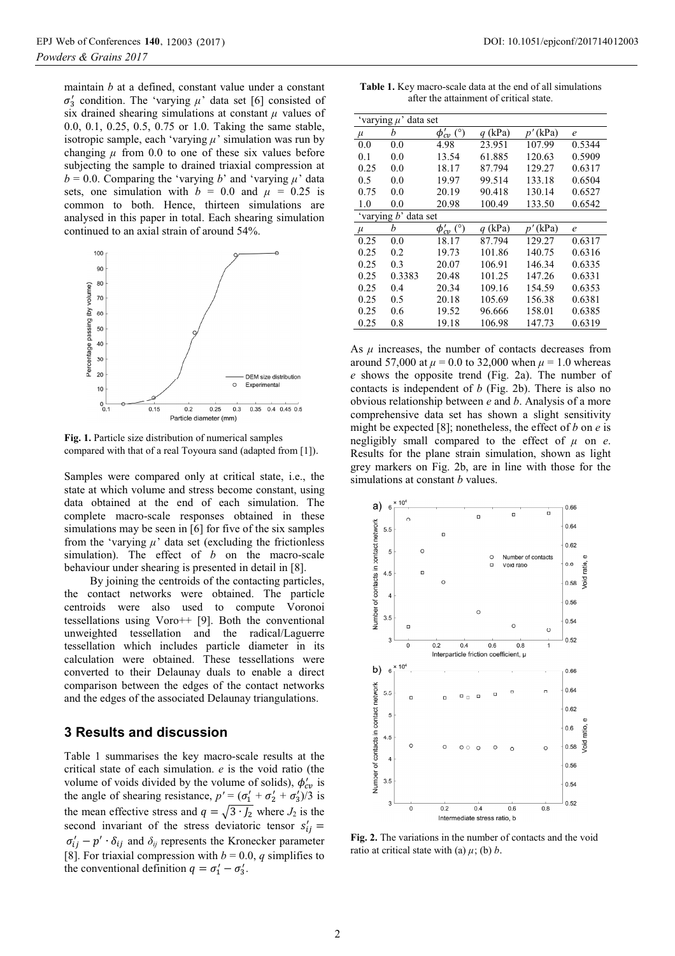maintain *b* at a defined, constant value under a constant  $\sigma'_{3}$  condition. The 'varying  $\mu$ ' data set [6] consisted of six drained shearing simulations at constant  $\mu$  values of 0.0, 0.1, 0.25, 0.5, 0.75 or 1.0. Taking the same stable, isotropic sample, each 'varying *µ*' simulation was run by changing  $\mu$  from 0.0 to one of these six values before subjecting the sample to drained triaxial compression at  $b = 0.0$ . Comparing the 'varying *b*' and 'varying  $\mu$ ' data sets, one simulation with  $b = 0.0$  and  $\mu = 0.25$  is common to both. Hence, thirteen simulations are analysed in this paper in total. Each shearing simulation continued to an axial strain of around 54%.



**Fig. 1.** Particle size distribution of numerical samples compared with that of a real Toyoura sand (adapted from [1]).

Samples were compared only at critical state, i.e., the state at which volume and stress become constant, using data obtained at the end of each simulation. The complete macro-scale responses obtained in these simulations may be seen in [6] for five of the six samples from the 'varying  $\mu$ ' data set (excluding the frictionless simulation). The effect of *b* on the macro-scale behaviour under shearing is presented in detail in [8].

By joining the centroids of the contacting particles, the contact networks were obtained. The particle centroids were also used to compute Voronoi tessellations using Voro++ [9]. Both the conventional unweighted tessellation and the radical/Laguerre tessellation which includes particle diameter in its calculation were obtained. These tessellations were converted to their Delaunay duals to enable a direct comparison between the edges of the contact networks and the edges of the associated Delaunay triangulations.

#### **3 Results and discussion**

Table 1 summarises the key macro-scale results at the critical state of each simulation. *e* is the void ratio (the volume of voids divided by the volume of solids),  $\phi_{cv}$  is the angle of shearing resistance,  $p' = (\sigma'_1 + \sigma'_2 + \sigma'_3)/3$  is the mean effective stress and  $q = \sqrt{3 \cdot J_2}$  where  $J_2$  is the second invariant of the stress deviatoric tensor  $s'_{ij}$  =  $\sigma'_{ij} - p' \cdot \delta_{ij}$  and  $\delta_{ij}$  represents the Kronecker parameter [8]. For triaxial compression with  $b = 0.0$ , *q* simplifies to the conventional definition  $q = \sigma'_1 - \sigma'_3$ .

**Table 1.** Key macro-scale data at the end of all simulations after the attainment of critical state.

| 'varying $\mu$ ' data set |        |                  |           |            |                   |
|---------------------------|--------|------------------|-----------|------------|-------------------|
| $\mu$                     | h      | $\phi'_{cv}$ (°) | $q$ (kPa) | $p'$ (kPa) | $\mathcal{C}_{0}$ |
| 0.0                       | 0.0    | 4.98             | 23.951    | 107.99     | 0.5344            |
| 0.1                       | 0.0    | 13.54            | 61.885    | 120.63     | 0.5909            |
| 0.25                      | 0.0    | 18.17            | 87.794    | 129.27     | 0.6317            |
| 0.5                       | 0.0    | 19.97            | 99.514    | 133.18     | 0.6504            |
| 0.75                      | 0.0    | 20.19            | 90.418    | 130.14     | 0.6527            |
| 1.0                       | 0.0    | 20.98            | 100.49    | 133.50     | 0.6542            |
| 'varying b' data set      |        |                  |           |            |                   |
| $\mu$                     | b      | $\phi'_{cv}$ (°) | $q$ (kPa) | $p'$ (kPa) | $\epsilon$        |
| 0.25                      | 0.0    | 18.17            | 87.794    | 129.27     | 0.6317            |
| 0.25                      | 0.2    | 19.73            | 101.86    | 140.75     | 0.6316            |
| 0.25                      | 0.3    | 20.07            | 106.91    | 146.34     | 0.6335            |
| 0.25                      | 0.3383 | 20.48            | 101.25    | 147.26     | 0.6331            |
| 0.25                      | 0.4    | 20.34            | 109.16    | 154.59     | 0.6353            |
| 0.25                      | 0.5    | 20.18            | 105.69    | 156.38     | 0.6381            |
| 0.25                      | 0.6    | 19.52            | 96.666    | 158.01     | 0.6385            |
| 0.25                      | 0.8    | 19.18            | 106.98    | 147.73     | 0.6319            |

As  $\mu$  increases, the number of contacts decreases from around 57,000 at  $\mu$  = 0.0 to 32,000 when  $\mu$  = 1.0 whereas *e* shows the opposite trend (Fig. 2a). The number of contacts is independent of *b* (Fig. 2b). There is also no obvious relationship between *e* and *b*. Analysis of a more comprehensive data set has shown a slight sensitivity might be expected [8]; nonetheless, the effect of *b* on *e* is negligibly small compared to the effect of  $\mu$  on *e*. Results for the plane strain simulation, shown as light grey markers on Fig. 2b, are in line with those for the simulations at constant *b* values.



**Fig. 2.** The variations in the number of contacts and the void ratio at critical state with (a)  $\mu$ ; (b) *b*.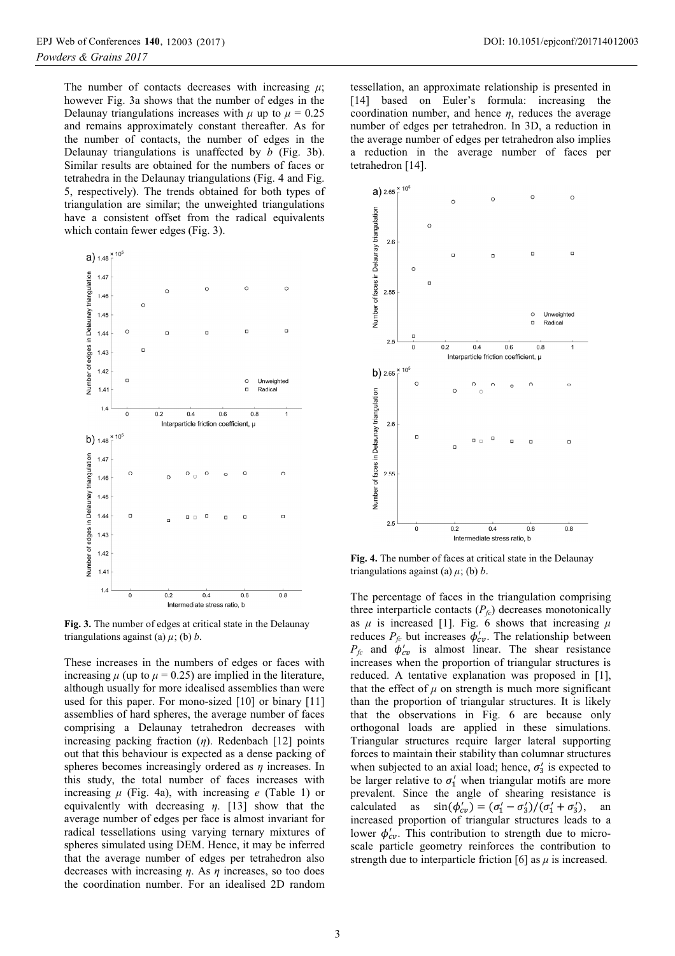The number of contacts decreases with increasing  $\mu$ ; however Fig. 3a shows that the number of edges in the Delaunay triangulations increases with  $\mu$  up to  $\mu = 0.25$ and remains approximately constant thereafter. As for the number of contacts, the number of edges in the Delaunay triangulations is unaffected by *b* (Fig. 3b). Similar results are obtained for the numbers of faces or tetrahedra in the Delaunay triangulations (Fig. 4 and Fig. 5, respectively). The trends obtained for both types of triangulation are similar; the unweighted triangulations have a consistent offset from the radical equivalents



**Fig. 3.** The number of edges at critical state in the Delaunay triangulations against (a)  $\mu$ ; (b) *b*.

These increases in the numbers of edges or faces with increasing  $\mu$  (up to  $\mu$  = 0.25) are implied in the literature, although usually for more idealised assemblies than were used for this paper. For mono-sized [10] or binary [11] assemblies of hard spheres, the average number of faces comprising a Delaunay tetrahedron decreases with increasing packing fraction (*η*). Redenbach [12] points out that this behaviour is expected as a dense packing of spheres becomes increasingly ordered as *η* increases. In this study, the total number of faces increases with increasing *μ* (Fig. 4a), with increasing *e* (Table 1) or equivalently with decreasing *η*. [13] show that the average number of edges per face is almost invariant for radical tessellations using varying ternary mixtures of spheres simulated using DEM. Hence, it may be inferred that the average number of edges per tetrahedron also decreases with increasing *η*. As *η* increases, so too does the coordination number. For an idealised 2D random

tessellation, an approximate relationship is presented in [14] based on Euler's formula: increasing the coordination number, and hence *η*, reduces the average number of edges per tetrahedron. In 3D, a reduction in the average number of edges per tetrahedron also implies a reduction in the average number of faces per tetrahedron [14].



**Fig. 4.** The number of faces at critical state in the Delaunay triangulations against (a)  $\mu$ ; (b) *b*.

The percentage of faces in the triangulation comprising three interparticle contacts  $(P_{fc})$  decreases monotonically as  $\mu$  is increased [1]. Fig. 6 shows that increasing  $\mu$ reduces  $P_{fc}$  but increases  $\phi'_{cv}$ . The relationship between  $P_{fc}$  and  $\phi'_{cv}$  is almost linear. The shear resistance increases when the proportion of triangular structures is reduced. A tentative explanation was proposed in [1], that the effect of  $\mu$  on strength is much more significant than the proportion of triangular structures. It is likely that the observations in Fig. 6 are because only orthogonal loads are applied in these simulations. Triangular structures require larger lateral supporting forces to maintain their stability than columnar structures when subjected to an axial load; hence,  $\sigma'_{3}$  is expected to be larger relative to  $\sigma'_1$  when triangular motifs are more prevalent. Since the angle of shearing resistance is calculated as  $\begin{pmatrix} \n\sigma'_{1} & -\sigma'_{3}\n\end{pmatrix}$   $(\sigma'_{1} + \sigma'_{3})$ , an increased proportion of triangular structures leads to a lower  $\phi_{cv}$ . This contribution to strength due to microscale particle geometry reinforces the contribution to strength due to interparticle friction [6] as  $\mu$  is increased.